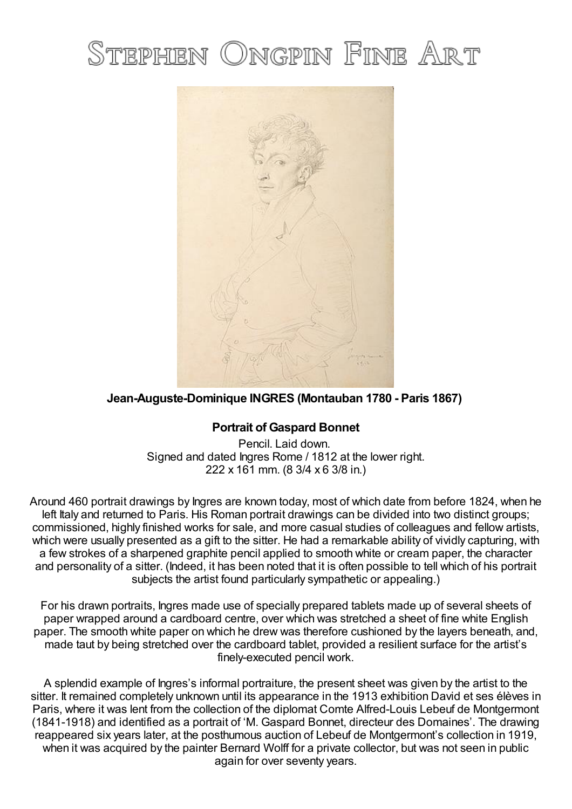# STEPHEN ONGPIN FINE ART



# **Jean-Auguste-Dominique INGRES (Montauban 1780 - Paris 1867)**

## **Portrait of Gaspard Bonnet**

Pencil. Laid down. Signed and dated Ingres Rome / 1812 at the lower right. 222 x 161 mm. (8 3/4 x 6 3/8 in.)

Around 460 portrait drawings by Ingres are known today, most of which date from before 1824, when he left Italy and returned to Paris. His Roman portrait drawings can be divided into two distinct groups; commissioned, highly finished works for sale, and more casual studies of colleagues and fellow artists, which were usually presented as a gift to the sitter. He had a remarkable ability of vividly capturing, with a few strokes of a sharpened graphite pencil applied to smooth white or cream paper, the character and personality of a sitter. (Indeed, it has been noted that it is often possible to tell which of his portrait subjects the artist found particularly sympathetic or appealing.)

For his drawn portraits, Ingres made use of specially prepared tablets made up of several sheets of paper wrapped around a cardboard centre, over which was stretched a sheet of fine white English paper. The smooth white paper on which he drew was therefore cushioned by the layers beneath, and, made taut by being stretched over the cardboard tablet, provided a resilient surface for the artist's finely-executed pencil work.

A splendid example of Ingres's informal portraiture, the present sheet was given by the artist to the sitter. It remained completely unknown until its appearance in the 1913 exhibition David et ses élèves in Paris, where it was lent from the collection of the diplomat Comte Alfred-Louis Lebeuf de Montgermont (1841-1918) and identified as a portrait of 'M. Gaspard Bonnet, directeur des Domaines'. The drawing reappeared six years later, at the posthumous auction of Lebeuf de Montgermont's collection in 1919, when it was acquired by the painter Bernard Wolff for a private collector, but was not seen in public again for over seventy years.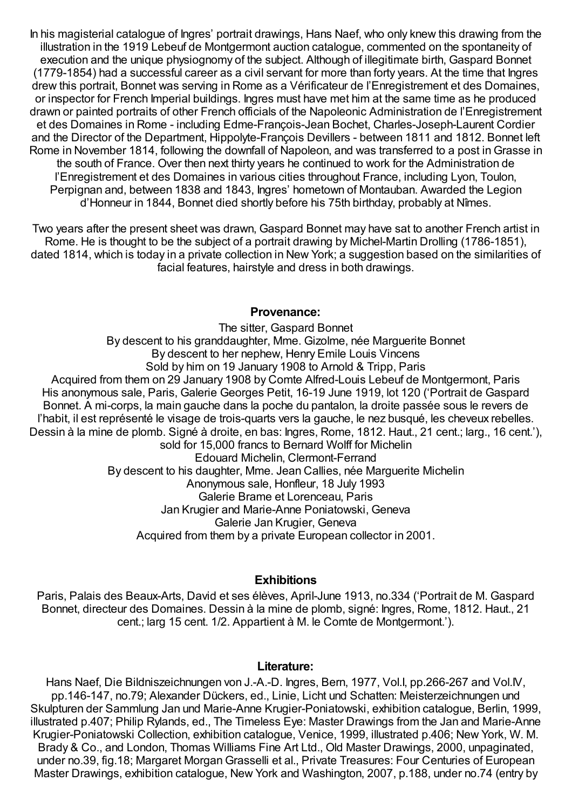In his magisterial catalogue of Ingres' portrait drawings, Hans Naef, who only knew this drawing from the illustration in the 1919 Lebeuf de Montgermont auction catalogue, commented on the spontaneity of execution and the unique physiognomy of the subject. Although of illegitimate birth, Gaspard Bonnet (1779-1854) had a successful career as a civil servant for more than forty years. At the time that Ingres drew this portrait, Bonnet was serving in Rome as a Vérificateur de l'Enregistrement et des Domaines, or inspector for French Imperial buildings. Ingres must have met him at the same time as he produced drawn or painted portraits of other French officials of the Napoleonic Administration de l'Enregistrement et des Domaines in Rome - including Edme-François-Jean Bochet, Charles-Joseph-Laurent Cordier and the Director of the Department, Hippolyte-François Devillers - between 1811 and 1812. Bonnet left Rome in November 1814, following the downfall of Napoleon, and was transferred to a post inGrasse in the south of France. Over then next thirty years he continued to work for the Administration de l'Enregistrement et des Domaines in various cities throughout France, including Lyon, Toulon, Perpignan and, between 1838 and 1843, Ingres' hometown of Montauban. Awarded the Legion d'Honneur in 1844, Bonnet died shortly before his 75th birthday, probably at Nîmes.

Two years after the present sheet was drawn, Gaspard Bonnet may have sat to another French artist in Rome. He is thought to be the subject of a portrait drawing by Michel-Martin Drolling (1786-1851), dated 1814, which is today in a private collection in New York; a suggestion based on the similarities of facial features, hairstyle and dress in both drawings.

### **Provenance:**

The sitter, Gaspard Bonnet By descent to his granddaughter, Mme. Gizolme, née Marguerite Bonnet By descent to her nephew, Henry Emile Louis Vincens Sold by him on 19 January 1908 to Arnold & Tripp, Paris Acquired from them on 29 January 1908 by Comte Alfred-Louis Lebeuf de Montgermont, Paris His anonymous sale, Paris, Galerie Georges Petit, 16-19 June 1919, lot 120 ('Portrait de Gaspard Bonnet. A mi-corps, la main gauche dans la poche du pantalon, la droite passée sous le revers de l'habit, il est représenté le visage de trois-quarts vers la gauche, le nez busqué, les cheveux rebelles. Dessin à la mine de plomb. Signé à droite, en bas: Ingres, Rome, 1812. Haut., 21 cent.; larg., 16 cent.'), sold for 15,000 francs to Bernard Wolff for Michelin Edouard Michelin, Clermont-Ferrand By descent to his daughter, Mme. Jean Callies, née Marguerite Michelin Anonymous sale, Honfleur, 18 July 1993 Galerie Brame et Lorenceau, Paris Jan Krugier and Marie-Anne Poniatowski, Geneva Galerie Jan Krugier, Geneva Acquired from them by a private European collector in 2001.

## **Exhibitions**

Paris, Palais des Beaux-Arts, David et ses élèves, April-June 1913, no.334 ('Portrait de M. Gaspard Bonnet, directeur des Domaines. Dessin à la mine de plomb, signé: Ingres, Rome, 1812. Haut., 21 cent.; larg 15 cent. 1/2. Appartient à M. le Comte de Montgermont.').

#### **Literature:**

Hans Naef, Die Bildniszeichnungen von J.-A.-D. Ingres, Bern, 1977, Vol.I, pp.266-267 and Vol.IV, pp.146-147, no.79; Alexander Dückers, ed., Linie, Licht und Schatten: Meisterzeichnungen und Skulpturen der Sammlung Jan und Marie-Anne Krugier-Poniatowski, exhibition catalogue, Berlin, 1999, illustrated p.407; Philip Rylands, ed., The Timeless Eye: Master Drawings from the Jan and Marie-Anne Krugier-Poniatowski Collection, exhibition catalogue, Venice, 1999, illustrated p.406; New York, W. M. Brady & Co., and London, Thomas Williams Fine Art Ltd., Old Master Drawings, 2000, unpaginated, under no.39, fig.18; Margaret Morgan Grasselli et al., Private Treasures: Four Centuries of European Master Drawings, exhibition catalogue, New York and Washington, 2007, p.188, under no.74 (entry by